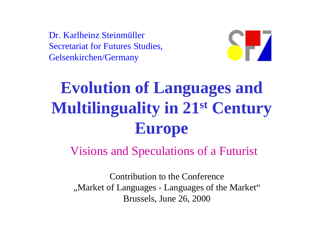Dr. Karlheinz SteinmüllerSecretariat for Futures Studies, Gelsenkirchen/Germany



## **Evolution of Languages and Multilinguality in 21st Century Europe**

Visions and Speculations of a Futurist

Contribution to the Conference ", Market of Languages - Languages of the Market" Brussels, June 26, 2000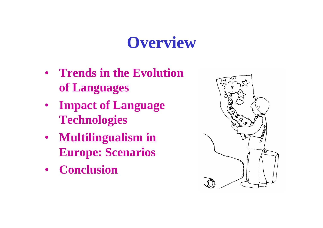### **Overview**

- **Trends in the Evolution of Languages**
- **Impact of Language Technologies**
- **Multilingualism in Europe: Scenarios**
- **Conclusion**

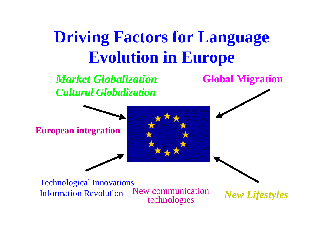## **Driving Factors for Language Evolution in Europe**

*Market Globalization Cultural Globalization*

**European integration**

**Global Migration**

New communication technologies Technological Innovations Information Revolution

*New Lifestyles*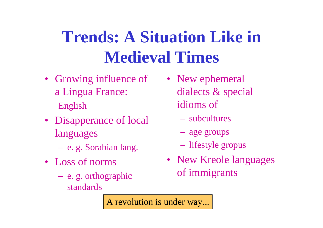## **Trends: A Situation Like in Medieval Times**

- Growing influence of a Lingua France: English
- Disapperance of local languages
	- e. g. Sorabian lang.
- Loss of norms
	- e. g. orthographic standards
- New ephemeral dialects & special idioms of
	- subcultures
	- age groups
	- lifestyle gropus
- New Kreole languages of immigrants

A revolution is under way...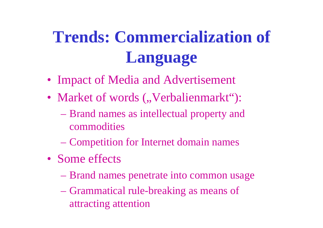## **Trends: Commercialization of Language**

- Impact of Media and Advertisement
- Market of words ("Verbalienmarkt"):
	- Brand names as intellectual property and commodities
	- Competition for Internet domain names
- Some effects
	- Brand names penetrate into common usage
	- Grammatical rule-breaking as means of attracting attention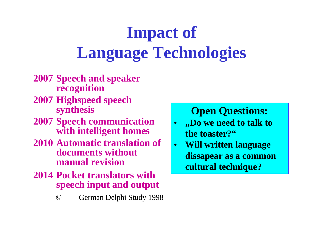# **Impact of Language Technologies**

- **2007 Speech and speaker recognition**
- **2007 Highspeed speech synthesis**
- **2007 Speech communication with intelligent homes**
- **2010 Automatic translation of documents without manual revision**
- **2014 Pocket translators with speech input and output**

#### © German Delphi Study 1998

#### **Open Questions:**

- $\bullet$  **"Do we need to talk to the toaster?"**
- • **Will written language dissapear as a common cultural technique?**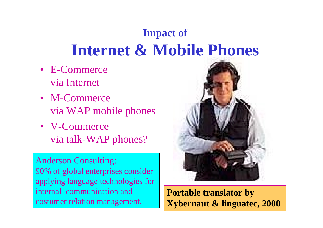#### **Impact of Internet & Mobile Phones**

- E-Commerce via Internet
- M-Commercevia WAP mobile phones
- V-Commercevia talk-WAP phones?

Anderson Consulting: 90% of global enterprises consider applying language technologies for internal communication and costumer relation management.



**Portable translator by Xybernaut & linguatec, 2000**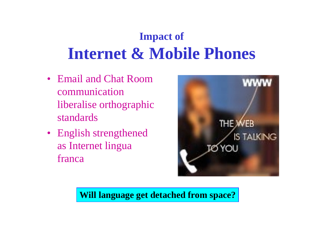#### **Impact of Internet & Mobile Phones**

- Email and Chat Room communication liberalise orthographic standards
- English strengthened as Internet lingua franca



**Will language get detached from space?**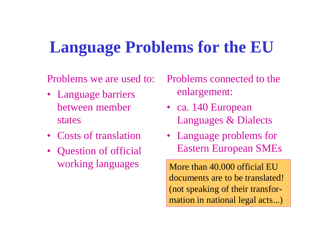### **Language Problems for the EU**

Problems we are used to:

- Language barriers between member states
- Costs of translation
- Question of official working languages

Problems connected to the enlargement:

- ca. 140 European Languages & Dialects
- Language problems for Eastern European SMEs

More than 40.000 official EU documents are to be translated! (not speaking of their transformation in national legal acts...)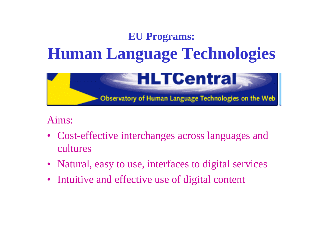#### **EU Programs: Human Language Technologies**



#### Aims:

- Cost-effective interchanges across languages and cultures
- Natural, easy to use, interfaces to digital services
- Intuitive and effective use of digital content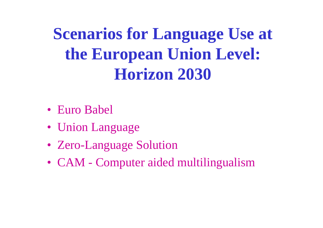**Scenarios for Language Use at the European Union Level: Horizon 2030** 

- Euro Babel
- Union Language
- Zero-Language Solution
- CAM Computer aided multilingualism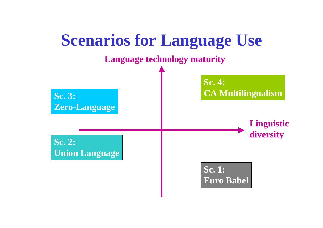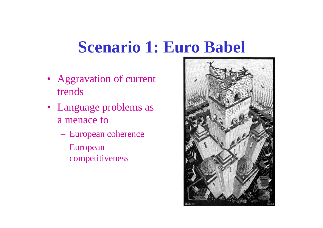## **Scenario 1: Euro Babel**

- Aggravation of current trends
- Language problems as a menace to
	- European coherence
	- European competitiveness

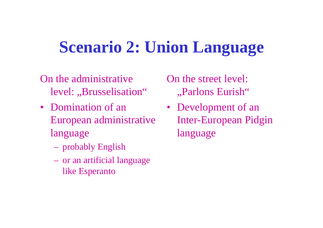## **Scenario 2: Union Language**

- On the administrative level: "Brusselisation"
- Domination of an European administrative language
	- probably English
	- or an artificial language like Esperanto

On the street level: "Parlons Eurish"

• Development of an Inter-European Pidgin language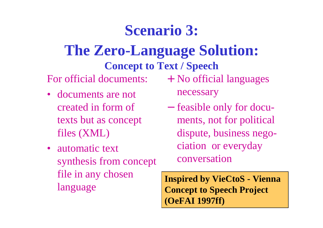#### **Scenario 3:**

#### **The Zero-Language Solution: Concept to Text / Speech**

For official documents:

- documents are not created in form of texts but as concept files (XML)
- automatic text synthesis from concept file in any chosen language

+ No official languages necessary

- feasible only for documents, not for political dispute, business negociation or everyday conversation

**Inspired by VieCtoS - Vienna Concept to Speech Project (OeFAI 1997ff)**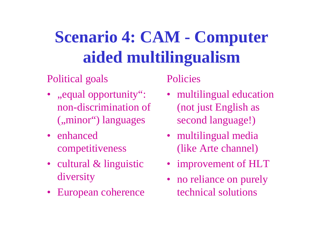## **Scenario 4: CAM - Computer aided multilingualism**

#### Political goals

- "equal opportunity": non-discrimination of ("minor") languages
- enhanced competitiveness
- cultural & linguistic diversity
- European coherence

**Policies** 

- multilingual education (not just English as second language!)
- multilingual media (like Arte channel)
- improvement of HLT
- no reliance on purely technical solutions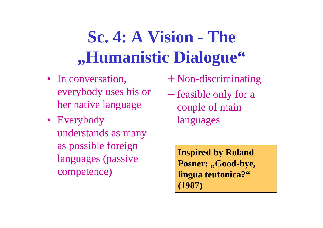## **Sc. 4: A Vision - The "Humanistic Dialogue"**

- In conversation, everybody uses his or her native language
- Everybody understands as many as possible foreign languages (passive competence)
- + Non-discriminating
- feasible only for a couple of main languages

**Inspired by Roland**  Posner: "Good-bye, **lingua teutonica?" (1987)**